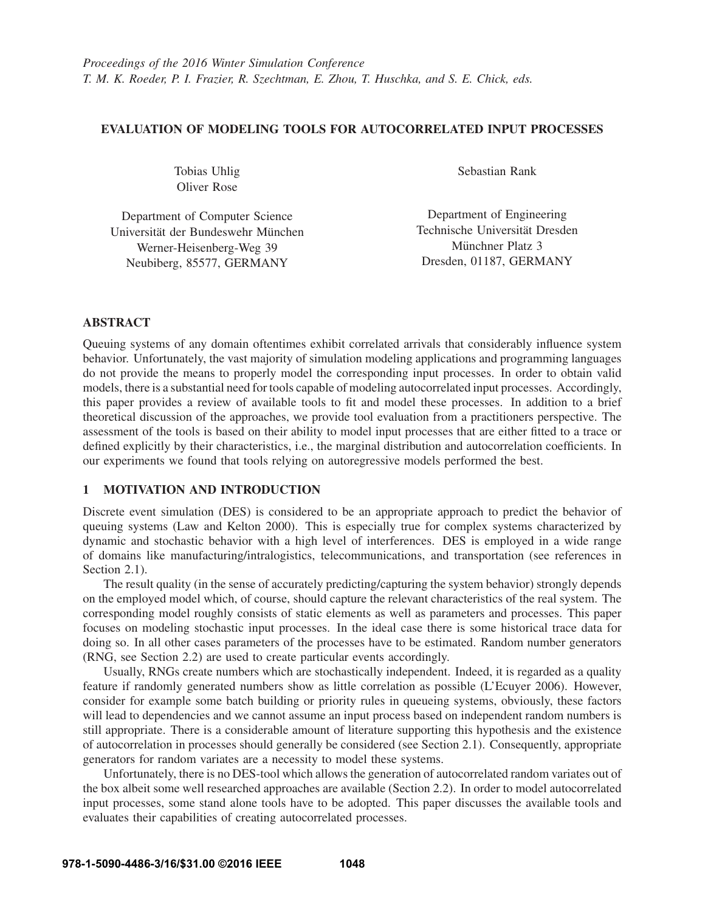## EVALUATION OF MODELING TOOLS FOR AUTOCORRELATED INPUT PROCESSES

Tobias Uhlig Oliver Rose

Department of Computer Science Universität der Bundeswehr München Werner-Heisenberg-Weg 39 Neubiberg, 85577, GERMANY

Sebastian Rank

Department of Engineering Technische Universität Dresden Münchner Platz 3 Dresden, 01187, GERMANY

# ABSTRACT

Queuing systems of any domain oftentimes exhibit correlated arrivals that considerably influence system behavior. Unfortunately, the vast majority of simulation modeling applications and programming languages do not provide the means to properly model the corresponding input processes. In order to obtain valid models, there is a substantial need for tools capable of modeling autocorrelated input processes. Accordingly, this paper provides a review of available tools to fit and model these processes. In addition to a brief theoretical discussion of the approaches, we provide tool evaluation from a practitioners perspective. The assessment of the tools is based on their ability to model input processes that are either fitted to a trace or defined explicitly by their characteristics, i.e., the marginal distribution and autocorrelation coefficients. In our experiments we found that tools relying on autoregressive models performed the best.

# 1 MOTIVATION AND INTRODUCTION

Discrete event simulation (DES) is considered to be an appropriate approach to predict the behavior of queuing systems (Law and Kelton 2000). This is especially true for complex systems characterized by dynamic and stochastic behavior with a high level of interferences. DES is employed in a wide range of domains like manufacturing/intralogistics, telecommunications, and transportation (see references in Section 2.1).

The result quality (in the sense of accurately predicting/capturing the system behavior) strongly depends on the employed model which, of course, should capture the relevant characteristics of the real system. The corresponding model roughly consists of static elements as well as parameters and processes. This paper focuses on modeling stochastic input processes. In the ideal case there is some historical trace data for doing so. In all other cases parameters of the processes have to be estimated. Random number generators (RNG, see Section 2.2) are used to create particular events accordingly.

Usually, RNGs create numbers which are stochastically independent. Indeed, it is regarded as a quality feature if randomly generated numbers show as little correlation as possible (L'Ecuyer 2006). However, consider for example some batch building or priority rules in queueing systems, obviously, these factors will lead to dependencies and we cannot assume an input process based on independent random numbers is still appropriate. There is a considerable amount of literature supporting this hypothesis and the existence of autocorrelation in processes should generally be considered (see Section 2.1). Consequently, appropriate generators for random variates are a necessity to model these systems.

Unfortunately, there is no DES-tool which allows the generation of autocorrelated random variates out of the box albeit some well researched approaches are available (Section 2.2). In order to model autocorrelated input processes, some stand alone tools have to be adopted. This paper discusses the available tools and evaluates their capabilities of creating autocorrelated processes.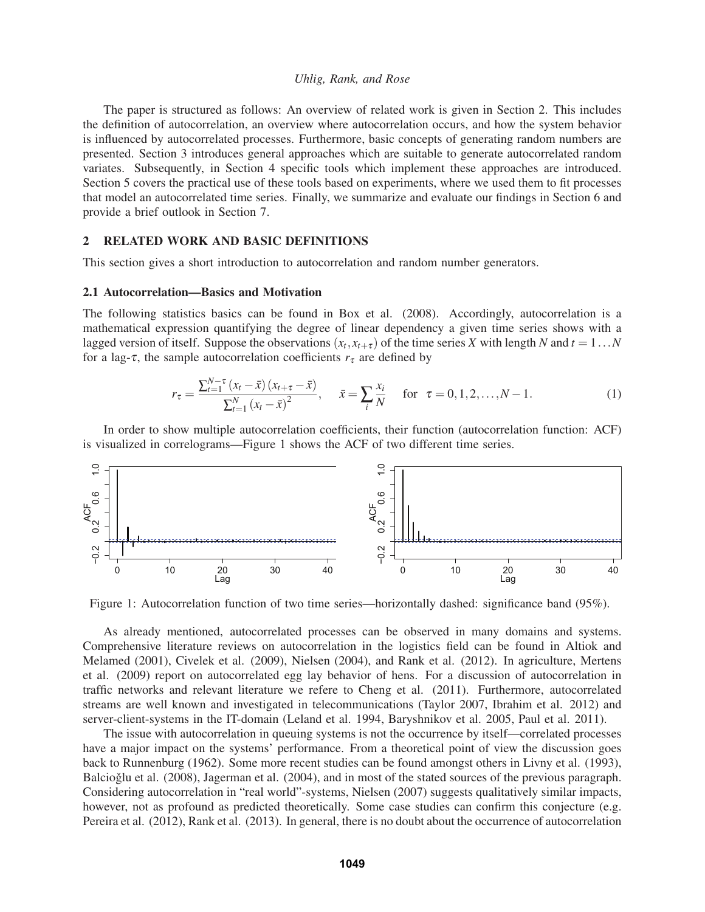The paper is structured as follows: An overview of related work is given in Section 2. This includes the definition of autocorrelation, an overview where autocorrelation occurs, and how the system behavior is influenced by autocorrelated processes. Furthermore, basic concepts of generating random numbers are presented. Section 3 introduces general approaches which are suitable to generate autocorrelated random variates. Subsequently, in Section 4 specific tools which implement these approaches are introduced. Section 5 covers the practical use of these tools based on experiments, where we used them to fit processes that model an autocorrelated time series. Finally, we summarize and evaluate our findings in Section 6 and provide a brief outlook in Section 7.

## 2 RELATED WORK AND BASIC DEFINITIONS

This section gives a short introduction to autocorrelation and random number generators.

### 2.1 Autocorrelation—Basics and Motivation

The following statistics basics can be found in Box et al. (2008). Accordingly, autocorrelation is a mathematical expression quantifying the degree of linear dependency a given time series shows with a lagged version of itself. Suppose the observations  $(x_t, x_{t+\tau})$  of the time series *X* with length *N* and  $t = 1...N$ for a lag-τ, the sample autocorrelation coefficients  $r_{\tau}$  are defined by

$$
r_{\tau} = \frac{\sum_{t=1}^{N-\tau} (x_t - \bar{x}) (x_{t+\tau} - \bar{x})}{\sum_{t=1}^{N} (x_t - \bar{x})^2}, \quad \bar{x} = \sum_{i} \frac{x_i}{N} \quad \text{for} \quad \tau = 0, 1, 2, \dots, N-1.
$$
 (1)

In order to show multiple autocorrelation coefficients, their function (autocorrelation function: ACF) is visualized in correlograms—Figure 1 shows the ACF of two different time series.



Figure 1: Autocorrelation function of two time series—horizontally dashed: significance band (95%).

As already mentioned, autocorrelated processes can be observed in many domains and systems. Comprehensive literature reviews on autocorrelation in the logistics field can be found in Altiok and Melamed (2001), Civelek et al. (2009), Nielsen (2004), and Rank et al. (2012). In agriculture, Mertens et al. (2009) report on autocorrelated egg lay behavior of hens. For a discussion of autocorrelation in traffic networks and relevant literature we refere to Cheng et al. (2011). Furthermore, autocorrelated streams are well known and investigated in telecommunications (Taylor 2007, Ibrahim et al. 2012) and server-client-systems in the IT-domain (Leland et al. 1994, Baryshnikov et al. 2005, Paul et al. 2011).

The issue with autocorrelation in queuing systems is not the occurrence by itself—correlated processes have a major impact on the systems' performance. From a theoretical point of view the discussion goes back to Runnenburg (1962). Some more recent studies can be found amongst others in Livny et al. (1993), Balcioglu et al. (2008), Jagerman et al. (2004), and in most of the stated sources of the previous paragraph. Considering autocorrelation in "real world"-systems, Nielsen (2007) suggests qualitatively similar impacts, however, not as profound as predicted theoretically. Some case studies can confirm this conjecture (e.g. Pereira et al. (2012), Rank et al. (2013). In general, there is no doubt about the occurrence of autocorrelation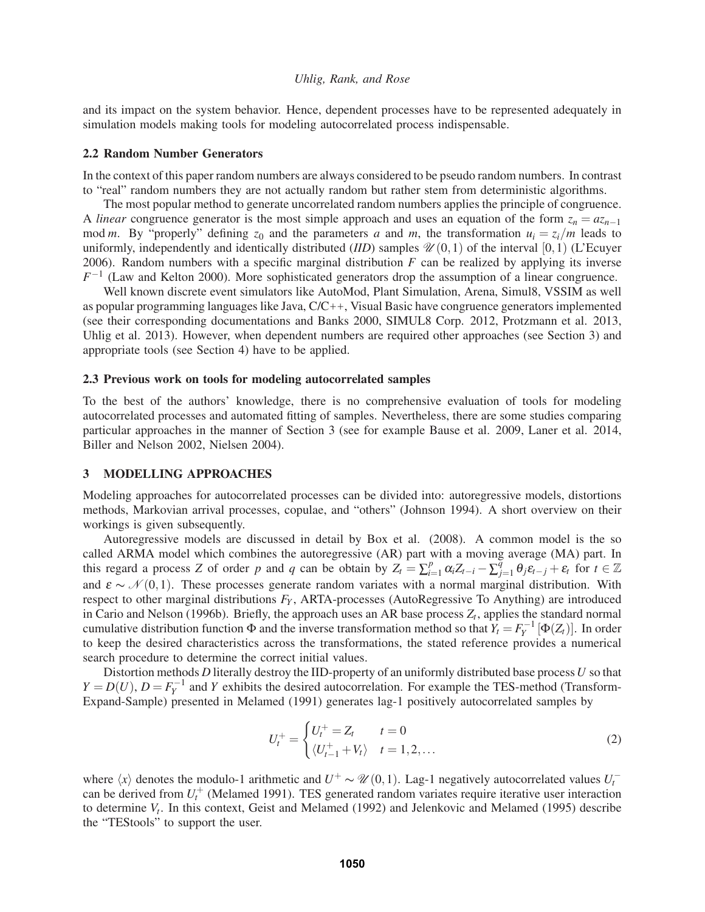and its impact on the system behavior. Hence, dependent processes have to be represented adequately in simulation models making tools for modeling autocorrelated process indispensable.

#### 2.2 Random Number Generators

In the context of this paper random numbers are always considered to be pseudo random numbers. In contrast to "real" random numbers they are not actually random but rather stem from deterministic algorithms.

The most popular method to generate uncorrelated random numbers applies the principle of congruence. A *linear* congruence generator is the most simple approach and uses an equation of the form  $z_n = az_{n-1}$ mod *m*. By "properly" defining  $z_0$  and the parameters *a* and *m*, the transformation  $u_i = z_i/m$  leads to uniformly, independently and identically distributed *(IID)* samples  $\mathcal{U}(0,1)$  of the interval [0,1) (L'Ecuyer 2006). Random numbers with a specific marginal distribution *F* can be realized by applying its inverse *F*<sup>−1</sup> (Law and Kelton 2000). More sophisticated generators drop the assumption of a linear congruence.

Well known discrete event simulators like AutoMod, Plant Simulation, Arena, Simul8, VSSIM as well as popular programming languages like Java, C/C++, Visual Basic have congruence generators implemented (see their corresponding documentations and Banks 2000, SIMUL8 Corp. 2012, Protzmann et al. 2013, Uhlig et al. 2013). However, when dependent numbers are required other approaches (see Section 3) and appropriate tools (see Section 4) have to be applied.

#### 2.3 Previous work on tools for modeling autocorrelated samples

To the best of the authors' knowledge, there is no comprehensive evaluation of tools for modeling autocorrelated processes and automated fitting of samples. Nevertheless, there are some studies comparing particular approaches in the manner of Section 3 (see for example Bause et al. 2009, Laner et al. 2014, Biller and Nelson 2002, Nielsen 2004).

### 3 MODELLING APPROACHES

Modeling approaches for autocorrelated processes can be divided into: autoregressive models, distortions methods, Markovian arrival processes, copulae, and "others" (Johnson 1994). A short overview on their workings is given subsequently.

Autoregressive models are discussed in detail by Box et al. (2008). A common model is the so called ARMA model which combines the autoregressive (AR) part with a moving average (MA) part. In this regard a process *Z* of order *p* and *q* can be obtain by  $Z_t = \sum_{i=1}^p \alpha_i Z_{t-i} - \sum_{j=1}^q \theta_j \varepsilon_{t-j} + \varepsilon_t$  for  $t \in \mathbb{Z}$ and  $\varepsilon \sim \mathcal{N}(0,1)$ . These processes generate random variates with a normal marginal distribution. With respect to other marginal distributions *FY* , ARTA-processes (AutoRegressive To Anything) are introduced in Cario and Nelson (1996b). Briefly, the approach uses an AR base process  $Z_t$ , applies the standard normal cumulative distribution function  $\Phi$  and the inverse transformation method so that  $Y_t = F_Y^{-1} [\Phi(Z_t)]$ . In order to keep the desired characteristics across the transformations, the stated reference provides a numerical search procedure to determine the correct initial values.

Distortion methods *D* literally destroy the IID-property of an uniformly distributed base process*U* so that  $Y = D(U)$ ,  $D = F_Y^{-1}$  and *Y* exhibits the desired autocorrelation. For example the TES-method (Transform-Expand-Sample) presented in Melamed (1991) generates lag-1 positively autocorrelated samples by

$$
U_t^+ = \begin{cases} U_t^+ = Z_t & t = 0\\ \langle U_{t-1}^+ + V_t \rangle & t = 1, 2, \dots \end{cases}
$$
 (2)

where  $\langle x \rangle$  denotes the modulo-1 arithmetic and  $U^+ \sim \mathcal{U}(0,1)$ . Lag-1 negatively autocorrelated values  $U_t^$ can be derived from  $U_t^+$  (Melamed 1991). TES generated random variates require iterative user interaction to determine *Vt*. In this context, Geist and Melamed (1992) and Jelenkovic and Melamed (1995) describe the "TEStools" to support the user.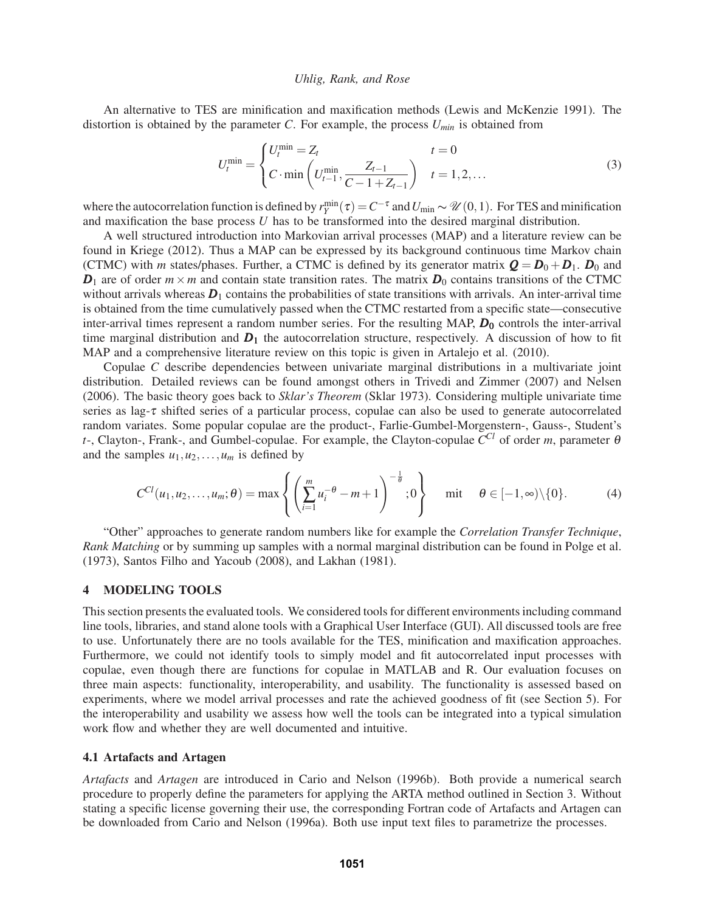An alternative to TES are minification and maxification methods (Lewis and McKenzie 1991). The distortion is obtained by the parameter *C*. For example, the process *Umin* is obtained from

$$
U_t^{\min} = \begin{cases} U_t^{\min} = Z_t & t = 0\\ C \cdot \min\left(U_{t-1}^{\min}, \frac{Z_{t-1}}{C - 1 + Z_{t-1}}\right) & t = 1, 2, \dots \end{cases}
$$
(3)

where the autocorrelation function is defined by  $r_Y^{\min}(\tau) = C^{-\tau}$  and  $U_{\min} \sim \mathcal{U}(0,1)$ . For TES and minification and maxification the base process *U* has to be transformed into the desired marginal distribution.

A well structured introduction into Markovian arrival processes (MAP) and a literature review can be found in Kriege (2012). Thus a MAP can be expressed by its background continuous time Markov chain (CTMC) with *m* states/phases. Further, a CTMC is defined by its generator matrix  $Q = D_0 + D_1$ .  $D_0$  and  $D_1$  are of order  $m \times m$  and contain state transition rates. The matrix  $D_0$  contains transitions of the CTMC without arrivals whereas  $D_1$  contains the probabilities of state transitions with arrivals. An inter-arrival time is obtained from the time cumulatively passed when the CTMC restarted from a specific state—consecutive inter-arrival times represent a random number series. For the resulting MAP,  $D_0$  controls the inter-arrival time marginal distribution and  $D_1$  the autocorrelation structure, respectively. A discussion of how to fit MAP and a comprehensive literature review on this topic is given in Artalejo et al. (2010).

Copulae *C* describe dependencies between univariate marginal distributions in a multivariate joint distribution. Detailed reviews can be found amongst others in Trivedi and Zimmer (2007) and Nelsen (2006). The basic theory goes back to *Sklar's Theorem* (Sklar 1973). Considering multiple univariate time series as lag- $\tau$  shifted series of a particular process, copulae can also be used to generate autocorrelated random variates. Some popular copulae are the product-, Farlie-Gumbel-Morgenstern-, Gauss-, Student's *t*-, Clayton-, Frank-, and Gumbel-copulae. For example, the Clayton-copulae *CCl* of order *m*, parameter θ and the samples  $u_1, u_2, \ldots, u_m$  is defined by

$$
C^{Cl}(u_1, u_2, \dots, u_m; \theta) = \max \left\{ \left( \sum_{i=1}^m u_i^{-\theta} - m + 1 \right)^{-\frac{1}{\theta}}, 0 \right\} \quad \text{mit} \quad \theta \in [-1, \infty) \setminus \{0\}. \tag{4}
$$

"Other" approaches to generate random numbers like for example the *Correlation Transfer Technique*, *Rank Matching* or by summing up samples with a normal marginal distribution can be found in Polge et al. (1973), Santos Filho and Yacoub (2008), and Lakhan (1981).

### 4 MODELING TOOLS

This section presents the evaluated tools. We considered tools for different environments including command line tools, libraries, and stand alone tools with a Graphical User Interface (GUI). All discussed tools are free to use. Unfortunately there are no tools available for the TES, minification and maxification approaches. Furthermore, we could not identify tools to simply model and fit autocorrelated input processes with copulae, even though there are functions for copulae in MATLAB and R. Our evaluation focuses on three main aspects: functionality, interoperability, and usability. The functionality is assessed based on experiments, where we model arrival processes and rate the achieved goodness of fit (see Section 5). For the interoperability and usability we assess how well the tools can be integrated into a typical simulation work flow and whether they are well documented and intuitive.

#### 4.1 Artafacts and Artagen

*Artafacts* and *Artagen* are introduced in Cario and Nelson (1996b). Both provide a numerical search procedure to properly define the parameters for applying the ARTA method outlined in Section 3. Without stating a specific license governing their use, the corresponding Fortran code of Artafacts and Artagen can be downloaded from Cario and Nelson (1996a). Both use input text files to parametrize the processes.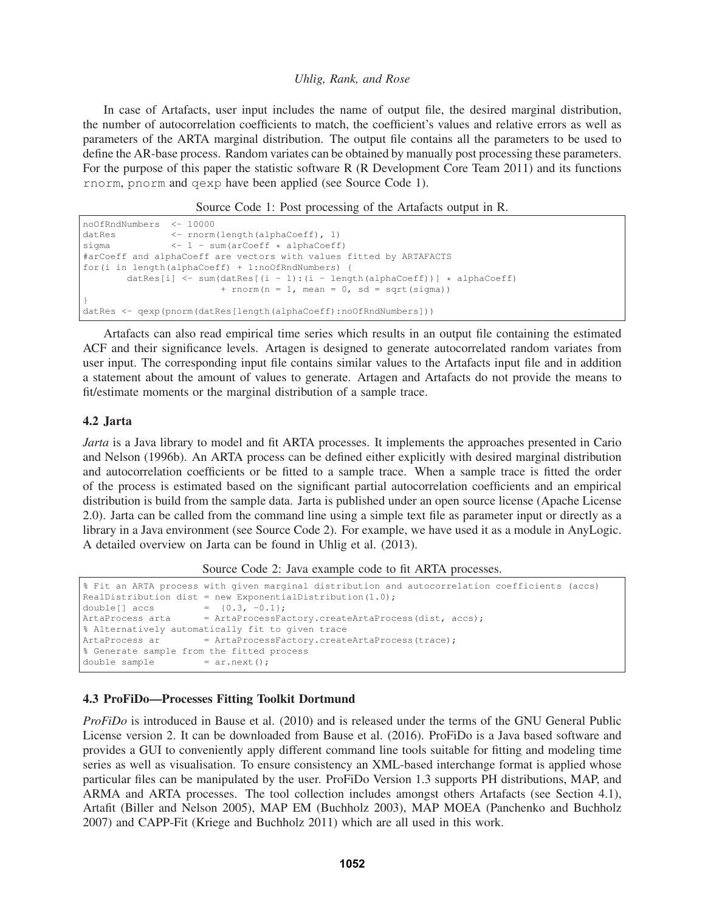In case of Artafacts, user input includes the name of output file, the desired marginal distribution, the number of autocorrelation coefficients to match, the coefficient's values and relative errors as well as parameters of the ARTA marginal distribution. The output file contains all the parameters to be used to define the AR-base process. Random variates can be obtained by manually post processing these parameters. For the purpose of this paper the statistic software R (R Development Core Team 2011) and its functions rnorm, pnorm and qexp have been applied (see Source Code 1).

Source Code 1: Post processing of the Artafacts output in R.

```
noOfRndNumbers <- 10000
datRes <- rnorm(length(alphaCoeff), 1)
sigma <-1 - \text{sum}(\text{arcoeff } \star \text{ alphabet})#arCoeff and alphaCoeff are vectors with values fitted by ARTAFACTS
for(i in length(alphaCoeff) + 1:noOfRndNumbers) {
        datRes[i] \leq sum(datRes[(i - 1):(i - length(alphaCoeff))] \star alphaCoeff)
                         + rnorm(n = 1, mean = 0, sd = sqrt(sigma))
}
datRes <- qexp(pnorm(datRes[length(alphaCoeff):noOfRndNumbers]))
```
Artafacts can also read empirical time series which results in an output file containing the estimated ACF and their significance levels. Artagen is designed to generate autocorrelated random variates from user input. The corresponding input file contains similar values to the Artafacts input file and in addition a statement about the amount of values to generate. Artagen and Artafacts do not provide the means to fit/estimate moments or the marginal distribution of a sample trace.

## 4.2 Jarta

*Jarta* is a Java library to model and fit ARTA processes. It implements the approaches presented in Cario and Nelson (1996b). An ARTA process can be defined either explicitly with desired marginal distribution and autocorrelation coefficients or be fitted to a sample trace. When a sample trace is fitted the order of the process is estimated based on the significant partial autocorrelation coefficients and an empirical distribution is build from the sample data. Jarta is published under an open source license (Apache License 2.0). Jarta can be called from the command line using a simple text file as parameter input or directly as a library in a Java environment (see Source Code 2). For example, we have used it as a module in AnyLogic. A detailed overview on Jarta can be found in Uhlig et al. (2013).

Source Code 2: Java example code to fit ARTA processes.

```
% Fit an ARTA process with given marginal distribution and autocorrelation coefficients (accs)
RealDistribution dist = new ExponentialDistribution(1.0);
double[] \arccos = \{0.3, -0.1\};ArtaProcess arta = ArtaProcessFactory.createArtaProcess(dist, accs);
% Alternatively automatically fit to given trace
ArtaProcess ar = ArtaProcessFactory.createArtaProcess(trace);
% Generate sample from the fitted process
double sample = ar.next();
```
### 4.3 ProFiDo—Processes Fitting Toolkit Dortmund

*ProFiDo* is introduced in Bause et al. (2010) and is released under the terms of the GNU General Public License version 2. It can be downloaded from Bause et al. (2016). ProFiDo is a Java based software and provides a GUI to conveniently apply different command line tools suitable for fitting and modeling time series as well as visualisation. To ensure consistency an XML-based interchange format is applied whose particular files can be manipulated by the user. ProFiDo Version 1.3 supports PH distributions, MAP, and ARMA and ARTA processes. The tool collection includes amongst others Artafacts (see Section 4.1), Artafit (Biller and Nelson 2005), MAP EM (Buchholz 2003), MAP MOEA (Panchenko and Buchholz 2007) and CAPP-Fit (Kriege and Buchholz 2011) which are all used in this work.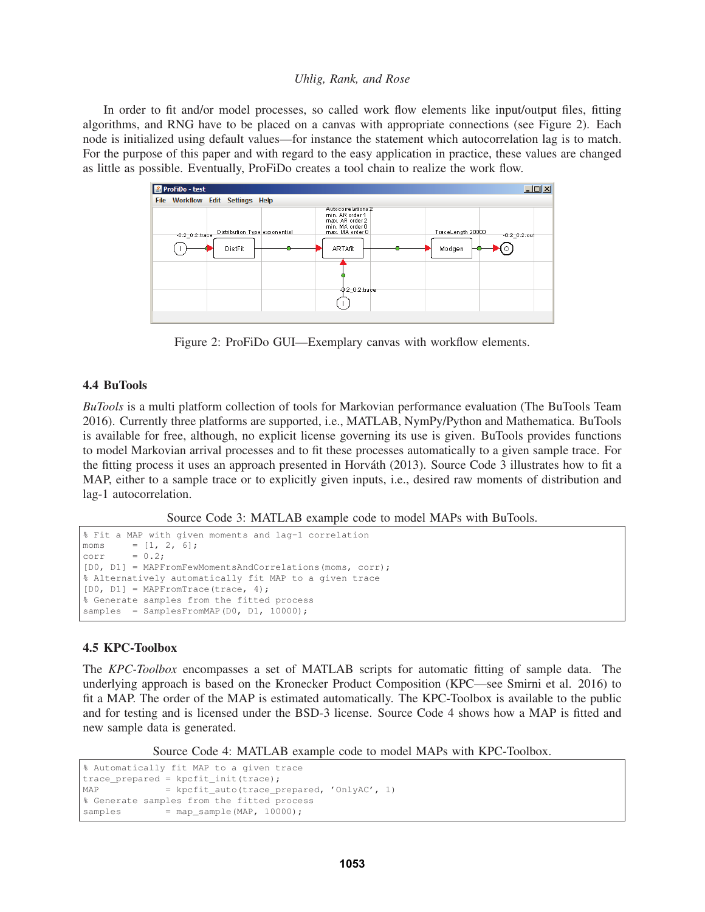In order to fit and/or model processes, so called work flow elements like input/output files, fitting algorithms, and RNG have to be placed on a canvas with appropriate connections (see Figure 2). Each node is initialized using default values—for instance the statement which autocorrelation lag is to match. For the purpose of this paper and with regard to the easy application in practice, these values are changed as little as possible. Eventually, ProFiDo creates a tool chain to realize the work flow.



Figure 2: ProFiDo GUI—Exemplary canvas with workflow elements.

## 4.4 BuTools

*BuTools* is a multi platform collection of tools for Markovian performance evaluation (The BuTools Team 2016). Currently three platforms are supported, i.e., MATLAB, NymPy/Python and Mathematica. BuTools is available for free, although, no explicit license governing its use is given. BuTools provides functions to model Markovian arrival processes and to fit these processes automatically to a given sample trace. For the fitting process it uses an approach presented in Horváth (2013). Source Code 3 illustrates how to fit a MAP, either to a sample trace or to explicitly given inputs, i.e., desired raw moments of distribution and lag-1 autocorrelation.

Source Code 3: MATLAB example code to model MAPs with BuTools.

```
% Fit a MAP with given moments and lag-1 correlation
moms = [1, 2, 6];
corr = 0.2;
[D0, D1] = MAPFromFewMomentsAndCorrelations(moms, corr);
% Alternatively automatically fit MAP to a given trace
[D0, D1] = \text{MAPFromTrace}(\text{trace}, 4);% Generate samples from the fitted process
samples = SamplesFromMAP(D0, D1, 10000);
```
## 4.5 KPC-Toolbox

The *KPC-Toolbox* encompasses a set of MATLAB scripts for automatic fitting of sample data. The underlying approach is based on the Kronecker Product Composition (KPC—see Smirni et al. 2016) to fit a MAP. The order of the MAP is estimated automatically. The KPC-Toolbox is available to the public and for testing and is licensed under the BSD-3 license. Source Code 4 shows how a MAP is fitted and new sample data is generated.

Source Code 4: MATLAB example code to model MAPs with KPC-Toolbox.

```
% Automatically fit MAP to a given trace
trace_prepared = kpcfit_init(trace);
MAP = kpcfit_auto(trace_prepared, 'OnlyAC', 1)
% Generate samples from the fitted process
samples = map_sample(MAP, 10000);
```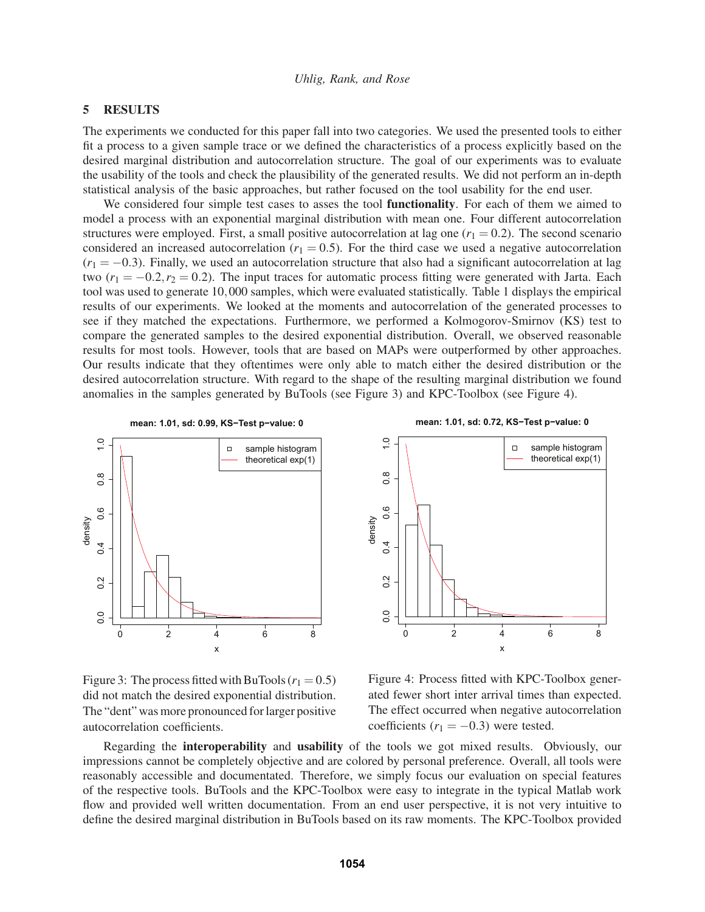## 5 RESULTS

The experiments we conducted for this paper fall into two categories. We used the presented tools to either fit a process to a given sample trace or we defined the characteristics of a process explicitly based on the desired marginal distribution and autocorrelation structure. The goal of our experiments was to evaluate the usability of the tools and check the plausibility of the generated results. We did not perform an in-depth statistical analysis of the basic approaches, but rather focused on the tool usability for the end user.

We considered four simple test cases to asses the tool **functionality**. For each of them we aimed to model a process with an exponential marginal distribution with mean one. Four different autocorrelation structures were employed. First, a small positive autocorrelation at lag one  $(r_1 = 0.2)$ . The second scenario considered an increased autocorrelation  $(r_1 = 0.5)$ . For the third case we used a negative autocorrelation  $(r_1 = -0.3)$ . Finally, we used an autocorrelation structure that also had a significant autocorrelation at lag two  $(r_1 = -0.2, r_2 = 0.2)$ . The input traces for automatic process fitting were generated with Jarta. Each tool was used to generate 10,000 samples, which were evaluated statistically. Table 1 displays the empirical results of our experiments. We looked at the moments and autocorrelation of the generated processes to see if they matched the expectations. Furthermore, we performed a Kolmogorov-Smirnov (KS) test to compare the generated samples to the desired exponential distribution. Overall, we observed reasonable results for most tools. However, tools that are based on MAPs were outperformed by other approaches. Our results indicate that they oftentimes were only able to match either the desired distribution or the desired autocorrelation structure. With regard to the shape of the resulting marginal distribution we found anomalies in the samples generated by BuTools (see Figure 3) and KPC-Toolbox (see Figure 4).



Figure 3: The process fitted with BuTools  $(r_1 = 0.5)$ did not match the desired exponential distribution. The "dent" was more pronounced for larger positive autocorrelation coefficients.

**mean: 1.01, sd: 0.72, KS−Test p−value: 0**



Figure 4: Process fitted with KPC-Toolbox generated fewer short inter arrival times than expected. The effect occurred when negative autocorrelation coefficients  $(r_1 = -0.3)$  were tested.

Regarding the **interoperability** and **usability** of the tools we got mixed results. Obviously, our impressions cannot be completely objective and are colored by personal preference. Overall, all tools were reasonably accessible and documentated. Therefore, we simply focus our evaluation on special features of the respective tools. BuTools and the KPC-Toolbox were easy to integrate in the typical Matlab work flow and provided well written documentation. From an end user perspective, it is not very intuitive to define the desired marginal distribution in BuTools based on its raw moments. The KPC-Toolbox provided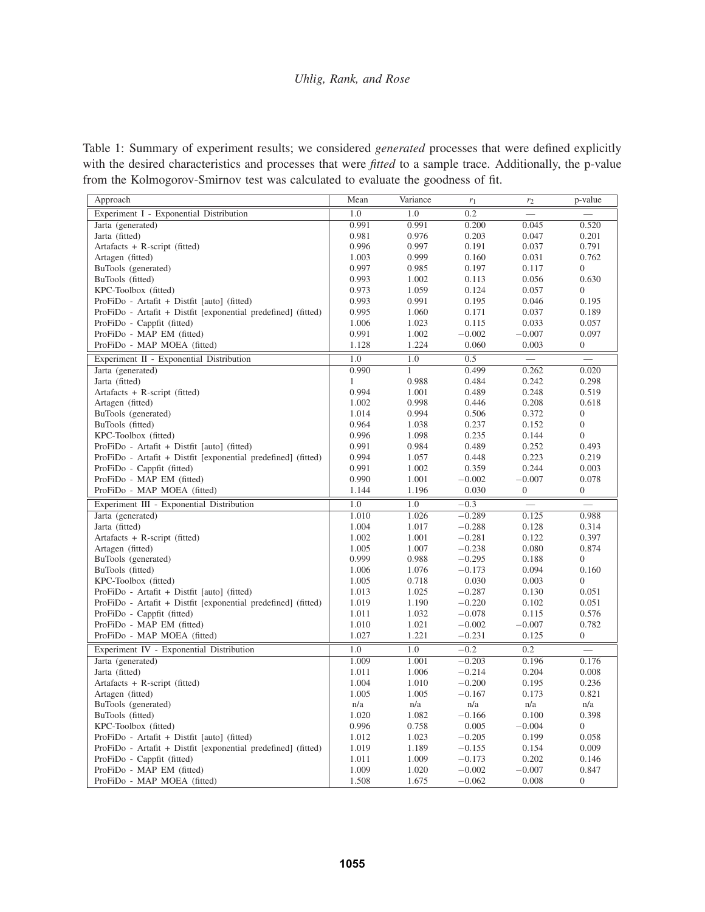Table 1: Summary of experiment results; we considered *generated* processes that were defined explicitly with the desired characteristics and processes that were *fitted* to a sample trace. Additionally, the p-value from the Kolmogorov-Smirnov test was calculated to evaluate the goodness of fit.

| Approach                                                      | Mean         | Variance       | $r_{\rm 1}$ | $r_{\rm 2}$      | p-value        |
|---------------------------------------------------------------|--------------|----------------|-------------|------------------|----------------|
| Experiment I - Exponential Distribution                       | 1.0          | 1.0            | 0.2         |                  |                |
| Jarta (generated)                                             | 0.991        | 0.991          | 0.200       | 0.045            | 0.520          |
| Jarta (fitted)                                                | 0.981        | 0.976          | 0.203       | 0.047            | 0.201          |
| Artafacts + R-script (fitted)                                 | 0.996        | 0.997          | 0.191       | 0.037            | 0.791          |
| Artagen (fitted)                                              | 1.003        | 0.999          | 0.160       | 0.031            | 0.762          |
| BuTools (generated)                                           | 0.997        | 0.985          | 0.197       | 0.117            | $\overline{0}$ |
| BuTools (fitted)                                              | 0.993        | 1.002          | 0.113       | 0.056            | 0.630          |
| KPC-Toolbox (fitted)                                          | 0.973        | 1.059          | 0.124       | 0.057            | $\overline{0}$ |
| ProFiDo - Artafit + Distfit [auto] (fitted)                   | 0.993        | 0.991          | 0.195       | 0.046            | 0.195          |
| ProFiDo - Artafit + Distfit [exponential predefined] (fitted) | 0.995        | 1.060          | 0.171       | 0.037            | 0.189          |
| ProFiDo - Cappfit (fitted)                                    | 1.006        | 1.023          | 0.115       | 0.033            | 0.057          |
| ProFiDo - MAP EM (fitted)                                     | 0.991        | 1.002          | $-0.002$    | $-0.007$         | 0.097          |
| ProFiDo - MAP MOEA (fitted)                                   | 1.128        | 1.224          | 0.060       | 0.003            | $\mathbf{0}$   |
| Experiment II - Exponential Distribution                      | 1.0          | 1.0            | 0.5         |                  |                |
| Jarta (generated)                                             | 0.990        | $\overline{1}$ | 0.499       | 0.262            | 0.020          |
| Jarta (fitted)                                                | $\mathbf{1}$ | 0.988          | 0.484       | 0.242            | 0.298          |
| Artafacts + R-script (fitted)                                 | 0.994        | 1.001          | 0.489       | 0.248            | 0.519          |
| Artagen (fitted)                                              | 1.002        | 0.998          | 0.446       | 0.208            | 0.618          |
| BuTools (generated)                                           | 1.014        | 0.994          | 0.506       | 0.372            | $\mathbf{0}$   |
| BuTools (fitted)                                              | 0.964        | 1.038          | 0.237       | 0.152            | $\mathbf{0}$   |
| KPC-Toolbox (fitted)                                          | 0.996        | 1.098          | 0.235       | 0.144            | $\overline{0}$ |
| ProFiDo - Artafit + Distfit [auto] (fitted)                   | 0.991        | 0.984          | 0.489       | 0.252            | 0.493          |
| ProFiDo - Artafit + Distfit [exponential predefined] (fitted) | 0.994        | 1.057          | 0.448       | 0.223            | 0.219          |
| ProFiDo - Cappfit (fitted)                                    | 0.991        | 1.002          | 0.359       | 0.244            | 0.003          |
| ProFiDo - MAP EM (fitted)                                     | 0.990        | 1.001          | $-0.002$    | $-0.007$         | 0.078          |
| ProFiDo - MAP MOEA (fitted)                                   | 1.144        | 1.196          | 0.030       | $\boldsymbol{0}$ | $\overline{0}$ |
| Experiment III - Exponential Distribution                     | 1.0          | 1.0            | $-0.3$      |                  |                |
| Jarta (generated)                                             | 1.010        | 1.026          | $-0.289$    | 0.125            | 0.988          |
| Jarta (fitted)                                                | 1.004        | 1.017          | $-0.288$    | 0.128            | 0.314          |
| Artafacts + R-script (fitted)                                 | 1.002        | 1.001          | $-0.281$    | 0.122            | 0.397          |
| Artagen (fitted)                                              | 1.005        | 1.007          | $-0.238$    | 0.080            | 0.874          |
| BuTools (generated)                                           | 0.999        | 0.988          | $-0.295$    | 0.188            | $\overline{0}$ |
| BuTools (fitted)                                              | 1.006        | 1.076          | $-0.173$    | 0.094            | 0.160          |
| KPC-Toolbox (fitted)                                          | 1.005        | 0.718          | 0.030       | 0.003            | $\overline{0}$ |
| ProFiDo - Artafit + Distfit [auto] (fitted)                   | 1.013        | 1.025          | $-0.287$    | 0.130            | 0.051          |
| ProFiDo - Artafit + Distfit [exponential predefined] (fitted) | 1.019        | 1.190          | $-0.220$    | 0.102            | 0.051          |
| ProFiDo - Cappfit (fitted)                                    | 1.011        | 1.032          | $-0.078$    | 0.115            | 0.576          |
| ProFiDo - MAP EM (fitted)                                     | 1.010        | 1.021          | $-0.002$    | $-0.007$         | 0.782          |
| ProFiDo - MAP MOEA (fitted)                                   | 1.027        | 1.221          | $-0.231$    | 0.125            | $\Omega$       |
| Experiment IV - Exponential Distribution                      | 1.0          | 1.0            | $-0.2$      | 0.2              |                |
| Jarta (generated)                                             | 1.009        | 1.001          | $-0.203$    | 0.196            | 0.176          |
| Jarta (fitted)                                                | 1.011        | 1.006          | $-0.214$    | 0.204            | 0.008          |
| Artafacts + R-script (fitted)                                 | 1.004        | 1.010          | $-0.200$    | 0.195            | 0.236          |
| Artagen (fitted)                                              | 1.005        | 1.005          | $-0.167$    | 0.173            | 0.821          |
| BuTools (generated)                                           | n/a          | n/a            | n/a         | n/a              | n/a            |
| BuTools (fitted)                                              | 1.020        | 1.082          | $-0.166$    | 0.100            | 0.398          |
| KPC-Toolbox (fitted)                                          | 0.996        | 0.758          | 0.005       | $-0.004$         | $\overline{0}$ |
| ProFiDo - Artafit + Distfit [auto] (fitted)                   | 1.012        | 1.023          | $-0.205$    | 0.199            | 0.058          |
| ProFiDo - Artafit + Distfit [exponential predefined] (fitted) | 1.019        | 1.189          | $-0.155$    | 0.154            | 0.009          |
| ProFiDo - Cappfit (fitted)                                    | 1.011        | 1.009          | $-0.173$    | 0.202            | 0.146          |
| ProFiDo - MAP EM (fitted)                                     | 1.009        | 1.020          | $-0.002$    | $-0.007$         | 0.847          |
| ProFiDo - MAP MOEA (fitted)                                   | 1.508        | 1.675          | $-0.062$    | 0.008            | $\mathbf{0}$   |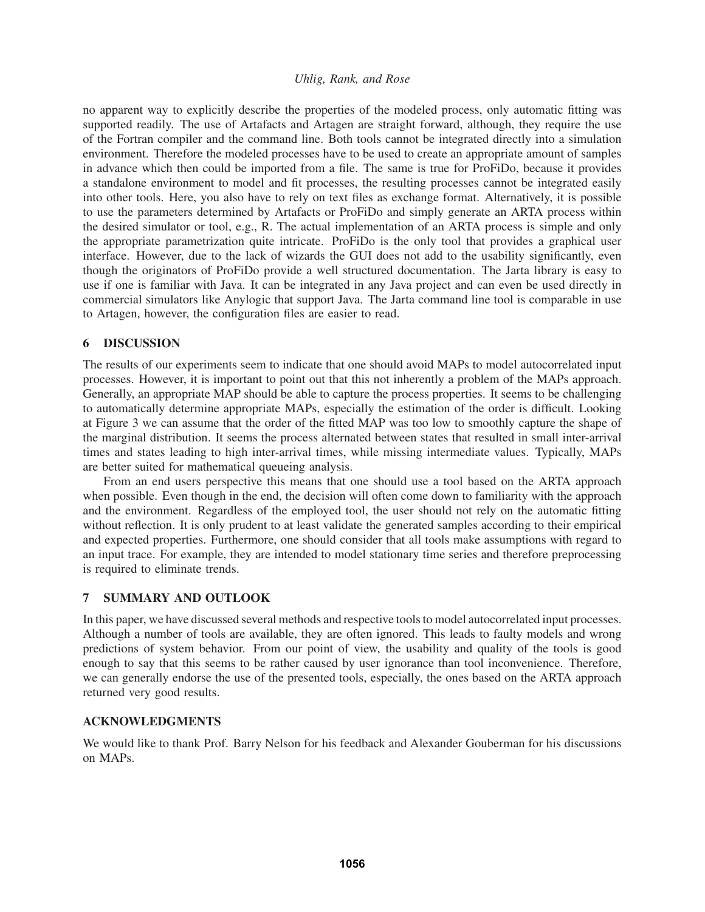no apparent way to explicitly describe the properties of the modeled process, only automatic fitting was supported readily. The use of Artafacts and Artagen are straight forward, although, they require the use of the Fortran compiler and the command line. Both tools cannot be integrated directly into a simulation environment. Therefore the modeled processes have to be used to create an appropriate amount of samples in advance which then could be imported from a file. The same is true for ProFiDo, because it provides a standalone environment to model and fit processes, the resulting processes cannot be integrated easily into other tools. Here, you also have to rely on text files as exchange format. Alternatively, it is possible to use the parameters determined by Artafacts or ProFiDo and simply generate an ARTA process within the desired simulator or tool, e.g., R. The actual implementation of an ARTA process is simple and only the appropriate parametrization quite intricate. ProFiDo is the only tool that provides a graphical user interface. However, due to the lack of wizards the GUI does not add to the usability significantly, even though the originators of ProFiDo provide a well structured documentation. The Jarta library is easy to use if one is familiar with Java. It can be integrated in any Java project and can even be used directly in commercial simulators like Anylogic that support Java. The Jarta command line tool is comparable in use to Artagen, however, the configuration files are easier to read.

## 6 DISCUSSION

The results of our experiments seem to indicate that one should avoid MAPs to model autocorrelated input processes. However, it is important to point out that this not inherently a problem of the MAPs approach. Generally, an appropriate MAP should be able to capture the process properties. It seems to be challenging to automatically determine appropriate MAPs, especially the estimation of the order is difficult. Looking at Figure 3 we can assume that the order of the fitted MAP was too low to smoothly capture the shape of the marginal distribution. It seems the process alternated between states that resulted in small inter-arrival times and states leading to high inter-arrival times, while missing intermediate values. Typically, MAPs are better suited for mathematical queueing analysis.

From an end users perspective this means that one should use a tool based on the ARTA approach when possible. Even though in the end, the decision will often come down to familiarity with the approach and the environment. Regardless of the employed tool, the user should not rely on the automatic fitting without reflection. It is only prudent to at least validate the generated samples according to their empirical and expected properties. Furthermore, one should consider that all tools make assumptions with regard to an input trace. For example, they are intended to model stationary time series and therefore preprocessing is required to eliminate trends.

## 7 SUMMARY AND OUTLOOK

In this paper, we have discussed several methods and respective tools to model autocorrelated input processes. Although a number of tools are available, they are often ignored. This leads to faulty models and wrong predictions of system behavior. From our point of view, the usability and quality of the tools is good enough to say that this seems to be rather caused by user ignorance than tool inconvenience. Therefore, we can generally endorse the use of the presented tools, especially, the ones based on the ARTA approach returned very good results.

# ACKNOWLEDGMENTS

We would like to thank Prof. Barry Nelson for his feedback and Alexander Gouberman for his discussions on MAPs.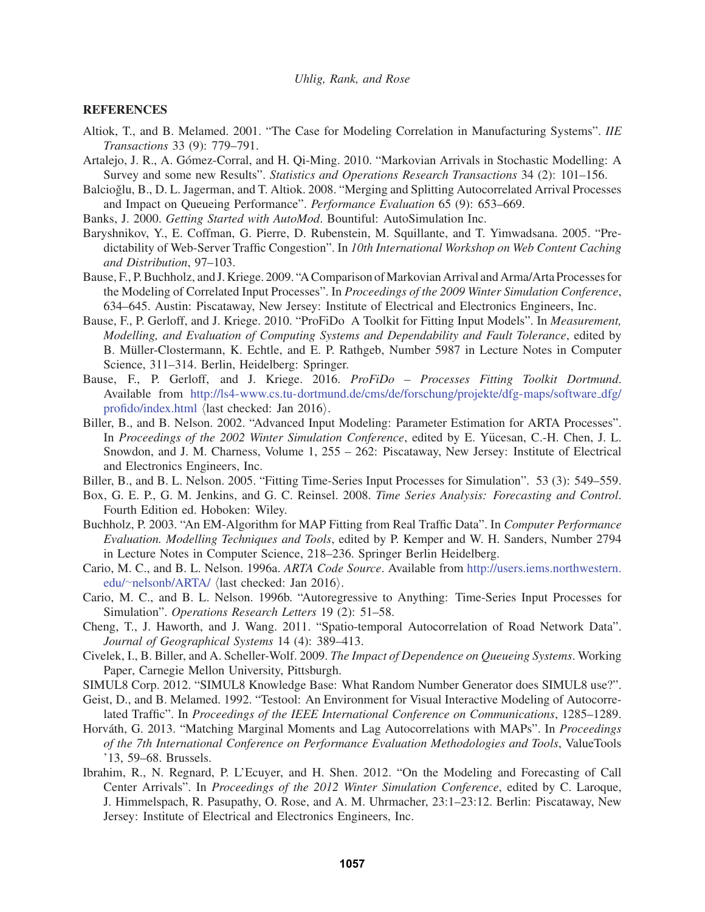### **REFERENCES**

- Altiok, T., and B. Melamed. 2001. "The Case for Modeling Correlation in Manufacturing Systems". *IIE Transactions* 33 (9): 779–791.
- Artalejo, J. R., A. Gomez-Corral, and H. Qi-Ming. 2010. "Markovian Arrivals in Stochastic Modelling: A ´ Survey and some new Results". *Statistics and Operations Research Transactions* 34 (2): 101–156.
- Balcioğlu, B., D. L. Jagerman, and T. Altiok. 2008. "Merging and Splitting Autocorrelated Arrival Processes and Impact on Queueing Performance". *Performance Evaluation* 65 (9): 653–669.
- Banks, J. 2000. *Getting Started with AutoMod*. Bountiful: AutoSimulation Inc.
- Baryshnikov, Y., E. Coffman, G. Pierre, D. Rubenstein, M. Squillante, and T. Yimwadsana. 2005. "Predictability of Web-Server Traffic Congestion". In *10th International Workshop on Web Content Caching and Distribution*, 97–103.
- Bause, F., P. Buchholz, and J. Kriege. 2009. "A Comparison of Markovian Arrival and Arma/Arta Processes for the Modeling of Correlated Input Processes". In *Proceedings of the 2009 Winter Simulation Conference*, 634–645. Austin: Piscataway, New Jersey: Institute of Electrical and Electronics Engineers, Inc.
- Bause, F., P. Gerloff, and J. Kriege. 2010. "ProFiDo A Toolkit for Fitting Input Models". In *Measurement, Modelling, and Evaluation of Computing Systems and Dependability and Fault Tolerance*, edited by B. Müller-Clostermann, K. Echtle, and E. P. Rathgeb, Number 5987 in Lecture Notes in Computer Science, 311–314. Berlin, Heidelberg: Springer.
- Bause, F., P. Gerloff, and J. Kriege. 2016. *ProFiDo Processes Fitting Toolkit Dortmund*. Available from http://ls4-www.cs.tu-dortmund.de/cms/de/forschung/projekte/dfg-maps/software dfg/ profido/index.html  $\langle$  last checked: Jan 2016 $\rangle$ .
- Biller, B., and B. Nelson. 2002. "Advanced Input Modeling: Parameter Estimation for ARTA Processes". In Proceedings of the 2002 Winter Simulation Conference, edited by E. Yücesan, C.-H. Chen, J. L. Snowdon, and J. M. Charness, Volume 1, 255 – 262: Piscataway, New Jersey: Institute of Electrical and Electronics Engineers, Inc.
- Biller, B., and B. L. Nelson. 2005. "Fitting Time-Series Input Processes for Simulation". 53 (3): 549–559.
- Box, G. E. P., G. M. Jenkins, and G. C. Reinsel. 2008. *Time Series Analysis: Forecasting and Control*. Fourth Edition ed. Hoboken: Wiley.
- Buchholz, P. 2003. "An EM-Algorithm for MAP Fitting from Real Traffic Data". In *Computer Performance Evaluation. Modelling Techniques and Tools*, edited by P. Kemper and W. H. Sanders, Number 2794 in Lecture Notes in Computer Science, 218–236. Springer Berlin Heidelberg.
- Cario, M. C., and B. L. Nelson. 1996a. *ARTA Code Source*. Available from http://users.iems.northwestern. edu/~nelsonb/ARTA/  $\langle$ last checked: Jan 2016 $\rangle$ .
- Cario, M. C., and B. L. Nelson. 1996b. "Autoregressive to Anything: Time-Series Input Processes for Simulation". *Operations Research Letters* 19 (2): 51–58.
- Cheng, T., J. Haworth, and J. Wang. 2011. "Spatio-temporal Autocorrelation of Road Network Data". *Journal of Geographical Systems* 14 (4): 389–413.
- Civelek, I., B. Biller, and A. Scheller-Wolf. 2009. *The Impact of Dependence on Queueing Systems*. Working Paper, Carnegie Mellon University, Pittsburgh.
- SIMUL8 Corp. 2012. "SIMUL8 Knowledge Base: What Random Number Generator does SIMUL8 use?".
- Geist, D., and B. Melamed. 1992. "Testool: An Environment for Visual Interactive Modeling of Autocorrelated Traffic". In *Proceedings of the IEEE International Conference on Communications*, 1285–1289.
- Horváth, G. 2013. "Matching Marginal Moments and Lag Autocorrelations with MAPs". In *Proceedings of the 7th International Conference on Performance Evaluation Methodologies and Tools*, ValueTools '13, 59–68. Brussels.
- Ibrahim, R., N. Regnard, P. L'Ecuyer, and H. Shen. 2012. "On the Modeling and Forecasting of Call Center Arrivals". In *Proceedings of the 2012 Winter Simulation Conference*, edited by C. Laroque, J. Himmelspach, R. Pasupathy, O. Rose, and A. M. Uhrmacher, 23:1–23:12. Berlin: Piscataway, New Jersey: Institute of Electrical and Electronics Engineers, Inc.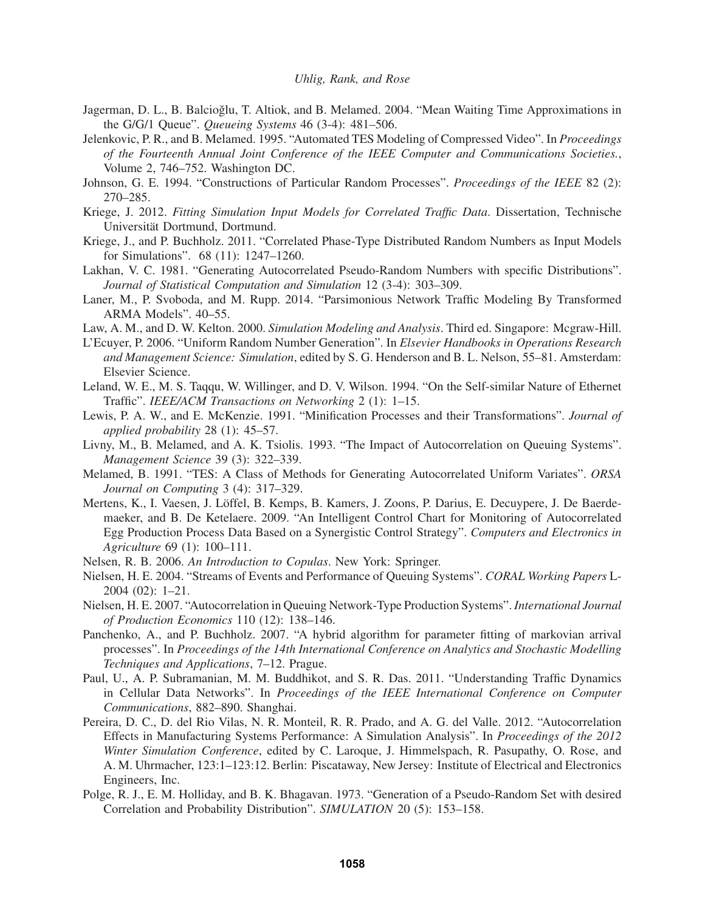- Jagerman, D. L., B. Balcioğlu, T. Altiok, and B. Melamed. 2004. "Mean Waiting Time Approximations in the G/G/1 Queue". *Queueing Systems* 46 (3-4): 481–506.
- Jelenkovic, P. R., and B. Melamed. 1995. "Automated TES Modeling of Compressed Video". In *Proceedings of the Fourteenth Annual Joint Conference of the IEEE Computer and Communications Societies.*, Volume 2, 746–752. Washington DC.
- Johnson, G. E. 1994. "Constructions of Particular Random Processes". *Proceedings of the IEEE* 82 (2): 270–285.
- Kriege, J. 2012. *Fitting Simulation Input Models for Correlated Traffic Data*. Dissertation, Technische Universität Dortmund, Dortmund.
- Kriege, J., and P. Buchholz. 2011. "Correlated Phase-Type Distributed Random Numbers as Input Models for Simulations". 68 (11): 1247–1260.
- Lakhan, V. C. 1981. "Generating Autocorrelated Pseudo-Random Numbers with specific Distributions". *Journal of Statistical Computation and Simulation* 12 (3-4): 303–309.
- Laner, M., P. Svoboda, and M. Rupp. 2014. "Parsimonious Network Traffic Modeling By Transformed ARMA Models". 40–55.
- Law, A. M., and D. W. Kelton. 2000. *Simulation Modeling and Analysis*. Third ed. Singapore: Mcgraw-Hill.
- L'Ecuyer, P. 2006. "Uniform Random Number Generation". In *Elsevier Handbooks in Operations Research and Management Science: Simulation*, edited by S. G. Henderson and B. L. Nelson, 55–81. Amsterdam: Elsevier Science.
- Leland, W. E., M. S. Taqqu, W. Willinger, and D. V. Wilson. 1994. "On the Self-similar Nature of Ethernet Traffic". *IEEE/ACM Transactions on Networking* 2 (1): 1–15.
- Lewis, P. A. W., and E. McKenzie. 1991. "Minification Processes and their Transformations". *Journal of applied probability* 28 (1): 45–57.
- Livny, M., B. Melamed, and A. K. Tsiolis. 1993. "The Impact of Autocorrelation on Queuing Systems". *Management Science* 39 (3): 322–339.
- Melamed, B. 1991. "TES: A Class of Methods for Generating Autocorrelated Uniform Variates". *ORSA Journal on Computing* 3 (4): 317–329.
- Mertens, K., I. Vaesen, J. Löffel, B. Kemps, B. Kamers, J. Zoons, P. Darius, E. Decuypere, J. De Baerdemaeker, and B. De Ketelaere. 2009. "An Intelligent Control Chart for Monitoring of Autocorrelated Egg Production Process Data Based on a Synergistic Control Strategy". *Computers and Electronics in Agriculture* 69 (1): 100–111.
- Nelsen, R. B. 2006. *An Introduction to Copulas*. New York: Springer.
- Nielsen, H. E. 2004. "Streams of Events and Performance of Queuing Systems". *CORAL Working Papers* L-2004 (02): 1–21.
- Nielsen, H. E. 2007. "Autocorrelation in Queuing Network-Type Production Systems". *International Journal of Production Economics* 110 (12): 138–146.
- Panchenko, A., and P. Buchholz. 2007. "A hybrid algorithm for parameter fitting of markovian arrival processes". In *Proceedings of the 14th International Conference on Analytics and Stochastic Modelling Techniques and Applications*, 7–12. Prague.
- Paul, U., A. P. Subramanian, M. M. Buddhikot, and S. R. Das. 2011. "Understanding Traffic Dynamics in Cellular Data Networks". In *Proceedings of the IEEE International Conference on Computer Communications*, 882–890. Shanghai.
- Pereira, D. C., D. del Rio Vilas, N. R. Monteil, R. R. Prado, and A. G. del Valle. 2012. "Autocorrelation Effects in Manufacturing Systems Performance: A Simulation Analysis". In *Proceedings of the 2012 Winter Simulation Conference*, edited by C. Laroque, J. Himmelspach, R. Pasupathy, O. Rose, and A. M. Uhrmacher, 123:1–123:12. Berlin: Piscataway, New Jersey: Institute of Electrical and Electronics Engineers, Inc.
- Polge, R. J., E. M. Holliday, and B. K. Bhagavan. 1973. "Generation of a Pseudo-Random Set with desired Correlation and Probability Distribution". *SIMULATION* 20 (5): 153–158.